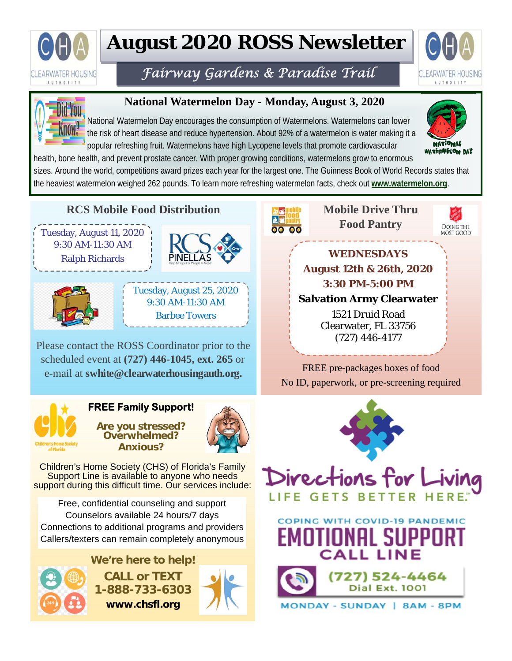

# **August 2020 ROSS Newsletter**

# *Fairway Gardens & Paradise Trail*





## **National Watermelon Day - Monday, August 3, 2020**

National Watermelon Day encourages the consumption of Watermelons. Watermelons can lower the risk of heart disease and reduce hypertension. About 92% of a watermelon is water making it a popular refreshing fruit. Watermelons have high Lycopene levels that promote cardiovascular



health, bone health, and prevent prostate cancer. With proper growing conditions, watermelons grow to enormous sizes. Around the world, competitions award prizes each year for the largest one. The Guinness Book of World Records states that the heaviest watermelon weighed 262 pounds. To learn more refreshing watermelon facts, check out **www.watermelon.org**.

### **RCS Mobile Food Distribution**







# Tuesday, August 25, 2020 9:30 AM-11:30 AM Barbee Towers

Please contact the ROSS Coordinator prior to the scheduled event at **(727) 446-1045, ext. 265** or e-mail at **swhite@clearwaterhousingauth.org.**



#### **FREE Family Support!**

**Are you stressed? Overwhelmed? Anxious?** 



Children's Home Society (CHS) of Florida's Family Support Line is available to anyone who needs support during this difficult time. Our services include:

Free, confidential counseling and support Counselors available 24 hours/7 days Connections to additional programs and providers Callers/texters can remain completely anonymous

> **We're here to help! CALL or TEXT 1-888-733-6303 www.chsfl.org**





**Mobile Drive Thru Food Pantry**



**WEDNESDAYS August 12th & 26th, 2020 3:30 PM-5:00 PM Salvation Army Clearwater** 

> 1521 Druid Road Clearwater, FL 33756 (727) 446-4177

FREE pre-packages boxes of food No ID, paperwork, or pre-screening required



UTIUNHL SU

**CALL LINE** 

ONDAY - SUNDAY | 8AM - 8PM

(727) 524-4464 **Dial Ext. 1001**